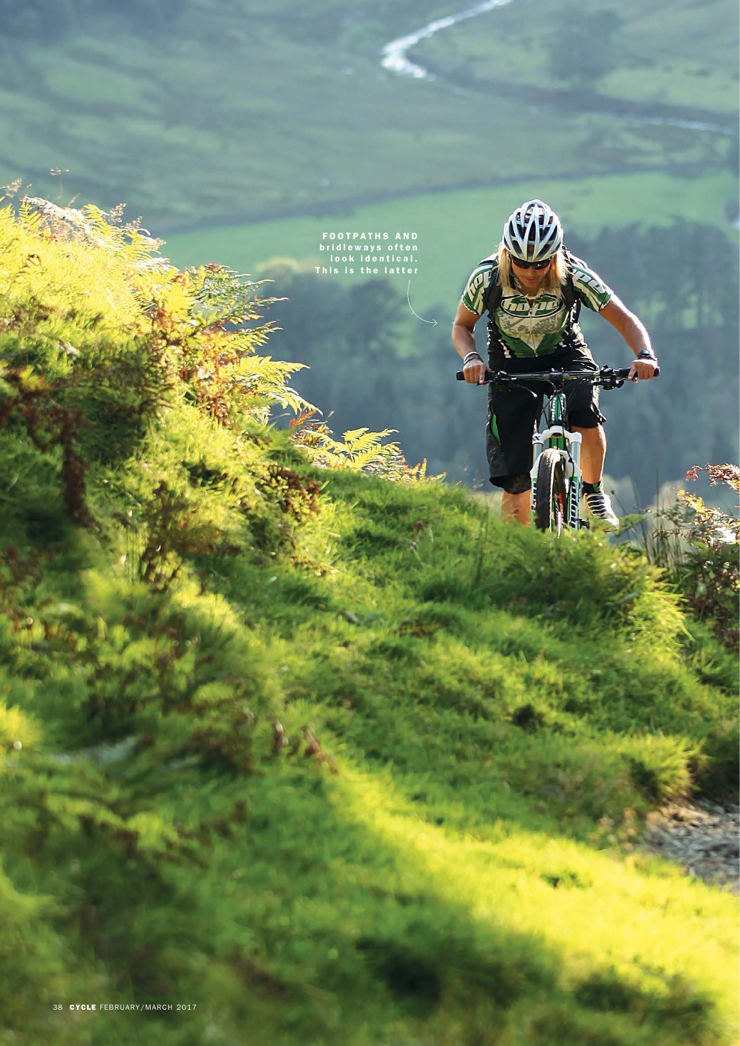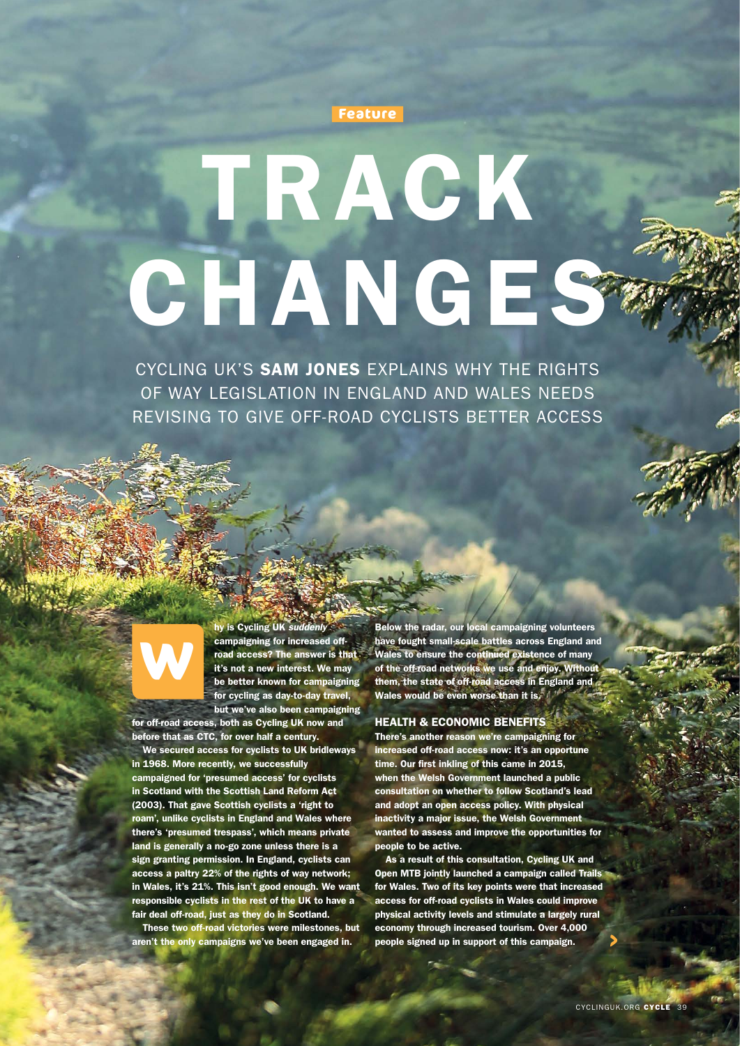

# TRACK CHANGES

CYCLING UK'S SAM JONES EXPLAINS WHY THE RIGHTS OF WAY LEGISLATION IN ENGLAND AND WALES NEEDS REVISING TO GIVE OFF-ROAD CYCLISTS BETTER ACCESS



hy is Cycling UK *suddenly* campaigning for increased offroad access? The answer is that it's not a new interest. We may be better known for campaigning for cycling as day-to-day travel, but we've also been campaigning

for off-road access, both as Cycling UK now and before that as CTC, for over half a century.

We secured access for cyclists to UK bridleways in 1968. More recently, we successfully campaigned for 'presumed access' for cyclists in Scotland with the Scottish Land Reform Act (2003). That gave Scottish cyclists a 'right to roam', unlike cyclists in England and Wales where there's 'presumed trespass', which means private land is generally a no-go zone unless there is a sign granting permission. In England, cyclists can access a paltry 22% of the rights of way network; in Wales, it's 21%. This isn't good enough. We want responsible cyclists in the rest of the UK to have a fair deal off-road, just as they do in Scotland.

These two off-road victories were milestones, but aren't the only campaigns we've been engaged in.

Below the radar, our local campaigning volunteers have fought small-scale battles across England and Wales to ensure the continued existence of many of the off-road networks we use and enjoy. Without them, the state of off-road access in England and Wales would be even worse than it is.

# HEALTH & ECONOMIC BENEFITS

There's another reason we're campaigning for increased off-road access now: it's an opportune time. Our first inkling of this came in 2015, when the Welsh Government launched a public consultation on whether to follow Scotland's lead and adopt an open access policy. With physical inactivity a major issue, the Welsh Government wanted to assess and improve the opportunities for people to be active.

As a result of this consultation, Cycling UK and Open MTB jointly launched a campaign called Trails for Wales. Two of its key points were that increased access for off-road cyclists in Wales could improve physical activity levels and stimulate a largely rural economy through increased tourism. Over 4,000 people signed up in support of this campaign.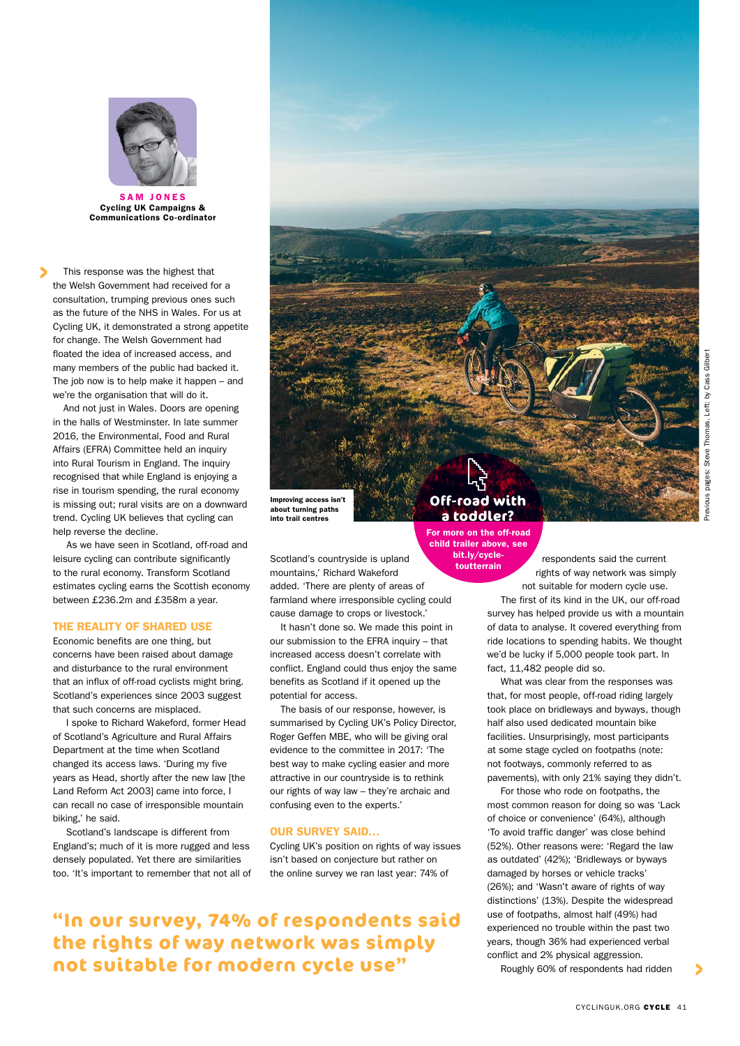

SAM JONES Cycling UK Campaigns & Communications Co-ordinator

This response was the highest that the Welsh Government had received for a consultation, trumping previous ones such as the future of the NHS in Wales. For us at Cycling UK, it demonstrated a strong appetite for change. The Welsh Government had floated the idea of increased access, and many members of the public had backed it. The job now is to help make it happen – and we're the organisation that will do it.

And not just in Wales. Doors are opening in the halls of Westminster. In late summer 2016, the Environmental, Food and Rural Affairs (EFRA) Committee held an inquiry into Rural Tourism in England. The inquiry recognised that while England is enjoying a rise in tourism spending, the rural economy is missing out; rural visits are on a downward trend. Cycling UK believes that cycling can help reverse the decline.

 As we have seen in Scotland, off-road and leisure cycling can contribute significantly to the rural economy. Transform Scotland estimates cycling earns the Scottish economy between £236.2m and £358m a year.

# THE REALITY OF SHARED USE

Economic benefits are one thing, but concerns have been raised about damage and disturbance to the rural environment that an influx of off-road cyclists might bring. Scotland's experiences since 2003 suggest that such concerns are misplaced.

I spoke to Richard Wakeford, former Head of Scotland's Agriculture and Rural Affairs Department at the time when Scotland changed its access laws. 'During my five years as Head, shortly after the new law [the Land Reform Act 2003] came into force, I can recall no case of irresponsible mountain biking,' he said.

Scotland's landscape is different from England's; much of it is more rugged and less densely populated. Yet there are similarities too. 'It's important to remember that not all of Improving access isn't about turning paths into trail centres

Scotland's countryside is upland mountains,' Richard Wakeford added. 'There are plenty of areas of farmland where irresponsible cycling could cause damage to crops or livestock.'

It hasn't done so. We made this point in our submission to the EFRA inquiry – that increased access doesn't correlate with conflict. England could thus enjoy the same benefits as Scotland if it opened up the potential for access.

The basis of our response, however, is summarised by Cycling UK's Policy Director, Roger Geffen MBE, who will be giving oral evidence to the committee in 2017: 'The best way to make cycling easier and more attractive in our countryside is to rethink our rights of way law – they're archaic and confusing even to the experts.'

# OUR SURVEY SAID…

Cycling UK's position on rights of way issues isn't based on conjecture but rather on the online survey we ran last year: 74% of

**"In our survey, 74% of respondents said the rights of way network was simply not suitable for modern cycle use"**

# **Off-road with a toddler?**

For more on the off-road child trailer above, see bit.ly/cycletoutterrain

respondents said the current rights of way network was simply not suitable for modern cycle use.

 The first of its kind in the UK, our off-road survey has helped provide us with a mountain of data to analyse. It covered everything from ride locations to spending habits. We thought we'd be lucky if 5,000 people took part. In fact, 11,482 people did so.

What was clear from the responses was that, for most people, off-road riding largely took place on bridleways and byways, though half also used dedicated mountain bike facilities. Unsurprisingly, most participants at some stage cycled on footpaths (note: not footways, commonly referred to as pavements), with only 21% saying they didn't.

For those who rode on footpaths, the most common reason for doing so was 'Lack of choice or convenience' (64%), although 'To avoid traffic danger' was close behind (52%). Other reasons were: 'Regard the law as outdated' (42%); 'Bridleways or byways damaged by horses or vehicle tracks' (26%); and 'Wasn't aware of rights of way distinctions' (13%). Despite the widespread use of footpaths, almost half (49%) had experienced no trouble within the past two years, though 36% had experienced verbal conflict and 2% physical aggression.

Roughly 60% of respondents had ridden